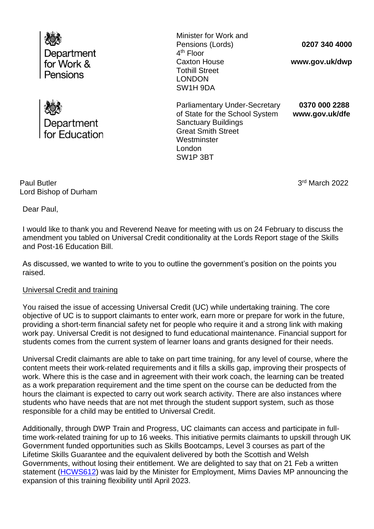



Minister for Work and Pensions (Lords) 4<sup>th</sup> Floor Caxton House Tothill Street LONDON SW1H 9DA

**0207 340 4000**

**www.gov.uk/dwp**

Parliamentary Under-Secretary **0370 000 2288** of State for the School System **www.gov.uk/dfe** Sanctuary Buildings Great Smith Street **Westminster** London SW1P 3BT

Paul Butler Lord Bishop of Durham  3 3rd March 2022

Dear Paul,

I would like to thank you and Reverend Neave for meeting with us on 24 February to discuss the amendment you tabled on Universal Credit conditionality at the Lords Report stage of the Skills and Post-16 Education Bill.

As discussed, we wanted to write to you to outline the government's position on the points you raised.

# Universal Credit and training

You raised the issue of accessing Universal Credit (UC) while undertaking training. The core objective of UC is to support claimants to enter work, earn more or prepare for work in the future, providing a short-term financial safety net for people who require it and a strong link with making work pay. Universal Credit is not designed to fund educational maintenance. Financial support for students comes from the current system of learner loans and grants designed for their needs.

Universal Credit claimants are able to take on part time training, for any level of course, where the content meets their work-related requirements and it fills a skills gap, improving their prospects of work. Where this is the case and in agreement with their work coach, the learning can be treated as a work preparation requirement and the time spent on the course can be deducted from the hours the claimant is expected to carry out work search activity. There are also instances where students who have needs that are not met through the student support system, such as those responsible for a child may be entitled to Universal Credit.

Additionally, through DWP Train and Progress, UC claimants can access and participate in fulltime work-related training for up to 16 weeks. This initiative permits claimants to upskill through UK Government funded opportunities such as Skills Bootcamps, Level 3 courses as part of the Lifetime Skills Guarantee and the equivalent delivered by both the Scottish and Welsh Governments, without losing their entitlement. We are delighted to say that on 21 Feb a written statement [\(HCWS612\)](https://questions-statements.parliament.uk/written-statements/detail/2022-02-21/hcws612) was laid by the Minister for Employment, Mims Davies MP announcing the expansion of this training flexibility until April 2023.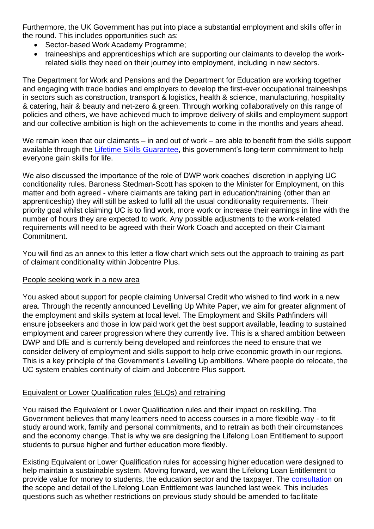Furthermore, the UK Government has put into place a substantial employment and skills offer in the round. This includes opportunities such as:

- Sector-based Work Academy Programme;
- traineeships and apprenticeships which are supporting our claimants to develop the workrelated skills they need on their journey into employment, including in new sectors.

The Department for Work and Pensions and the Department for Education are working together and engaging with trade bodies and employers to develop the first-ever occupational traineeships in sectors such as construction, transport & logistics, health & science, manufacturing, hospitality & catering, hair & beauty and net-zero & green. Through working collaboratively on this range of policies and others, we have achieved much to improve delivery of skills and employment support and our collective ambition is high on the achievements to come in the months and years ahead.

We remain keen that our claimants – in and out of work – are able to benefit from the skills support available through the [Lifetime Skills Guarantee,](https://www.gov.uk/government/news/hundreds-of-free-qualifications-on-offer-to-boost-skills-and-jobs) this government's long-term commitment to help everyone gain skills for life.

We also discussed the importance of the role of DWP work coaches' discretion in applying UC conditionality rules. Baroness Stedman-Scott has spoken to the Minister for Employment, on this matter and both agreed - where claimants are taking part in education/training (other than an apprenticeship) they will still be asked to fulfil all the usual conditionality requirements. Their priority goal whilst claiming UC is to find work, more work or increase their earnings in line with the number of hours they are expected to work. Any possible adjustments to the work-related requirements will need to be agreed with their Work Coach and accepted on their Claimant Commitment.

You will find as an annex to this letter a flow chart which sets out the approach to training as part of claimant conditionality within Jobcentre Plus.

# People seeking work in a new area

You asked about support for people claiming Universal Credit who wished to find work in a new area. Through the recently announced Levelling Up White Paper, we aim for greater alignment of the employment and skills system at local level. The Employment and Skills Pathfinders will ensure jobseekers and those in low paid work get the best support available, leading to sustained employment and career progression where they currently live. This is a shared ambition between DWP and DfE and is currently being developed and reinforces the need to ensure that we consider delivery of employment and skills support to help drive economic growth in our regions. This is a key principle of the Government's Levelling Up ambitions. Where people do relocate, the UC system enables continuity of claim and Jobcentre Plus support.

# Equivalent or Lower Qualification rules (ELQs) and retraining

You raised the Equivalent or Lower Qualification rules and their impact on reskilling. The Government believes that many learners need to access courses in a more flexible way - to fit study around work, family and personal commitments, and to retrain as both their circumstances and the economy change. That is why we are designing the Lifelong Loan Entitlement to support students to pursue higher and further education more flexibly.  

Existing Equivalent or Lower Qualification rules for accessing higher education were designed to help maintain a sustainable system. Moving forward, we want the Lifelong Loan Entitlement to provide value for money to students, the education sector and the taxpayer. The [consultation](https://assets.publishing.service.gov.uk/government/uploads/system/uploads/attachment_data/file/1056948/CP_618_Lifelong_Loan_Entitlement_Consultation_print_version.pdf) on the scope and detail of the Lifelong Loan Entitlement was launched last week. This includes questions such as whether restrictions on previous study should be amended to facilitate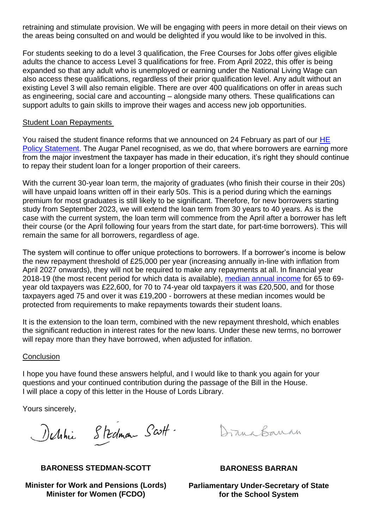retraining and stimulate provision. We will be engaging with peers in more detail on their views on the areas being consulted on and would be delighted if you would like to be involved in this.

For students seeking to do a level 3 qualification, the Free Courses for Jobs offer gives eligible adults the chance to access Level 3 qualifications for free. From April 2022, this offer is being expanded so that any adult who is unemployed or earning under the National Living Wage can also access these qualifications, regardless of their prior qualification level. Any adult without an existing Level 3 will also remain eligible. There are over 400 qualifications on offer in areas such as engineering, social care and accounting – alongside many others. These qualifications can support adults to gain skills to improve their wages and access new job opportunities.

## Student Loan Repayments

You raised the student finance reforms that we announced on 24 February as part of our HE [Policy Statement.](https://www.gov.uk/government/consultations/higher-education-policy-statement-and-reform) The Augar Panel recognised, as we do, that where borrowers are earning more from the major investment the taxpayer has made in their education, it's right they should continue to repay their student loan for a longer proportion of their careers.

With the current 30-year loan term, the majority of graduates (who finish their course in their 20s) will have unpaid loans written off in their early 50s. This is a period during which the earnings premium for most graduates is still likely to be significant. Therefore, for new borrowers starting study from September 2023, we will extend the loan term from 30 years to 40 years. As is the case with the current system, the loan term will commence from the April after a borrower has left their course (or the April following four years from the start date, for part-time borrowers). This will remain the same for all borrowers, regardless of age.

The system will continue to offer unique protections to borrowers. If a borrower's income is below the new repayment threshold of £25,000 per year (increasing annually in-line with inflation from April 2027 onwards), they will not be required to make any repayments at all. In financial year 2018-19 (the most recent period for which data is available), [median annual income](https://www.gov.uk/government/statistics/distribution-of-median-and-mean-income-and-tax-by-age-range-and-gender-2010-to-2011) for 65 to 69 year old taxpayers was £22,600, for 70 to 74-year old taxpayers it was £20,500, and for those taxpayers aged 75 and over it was £19,200 - borrowers at these median incomes would be protected from requirements to make repayments towards their student loans.

It is the extension to the loan term, combined with the new repayment threshold, which enables the significant reduction in interest rates for the new loans. Under these new terms, no borrower will repay more than they have borrowed, when adjusted for inflation.

## **Conclusion**

I hope you have found these answers helpful, and I would like to thank you again for your questions and your continued contribution during the passage of the Bill in the House. I will place a copy of this letter in the House of Lords Library.

Yours sincerely,

Delthie Stedman Scott.

Draws Barron

**BARONESS STEDMAN-SCOTT**

**Minister for Work and Pensions (Lords) Minister for Women (FCDO)**

**BARONESS BARRAN**

**Parliamentary Under-Secretary of State for the School System**